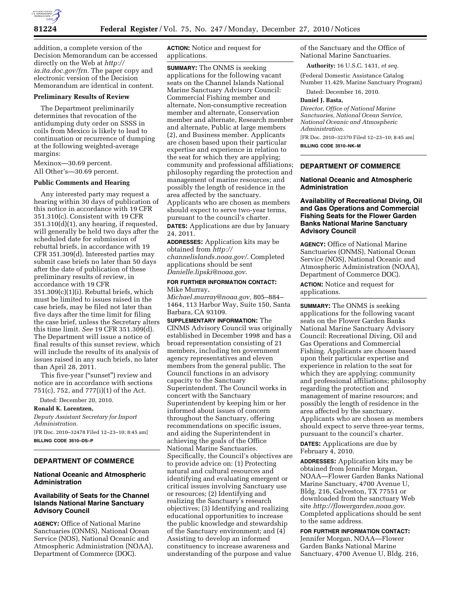

addition, a complete version of the Decision Memorandum can be accessed directly on the Web at *[http://](http://ia.ita.doc.gov/frn) [ia.ita.doc.gov/frn.](http://ia.ita.doc.gov/frn)* The paper copy and electronic version of the Decision Memorandum are identical in content.

#### **Preliminary Results of Review**

The Department preliminarily determines that revocation of the antidumping duty order on SSSS in coils from Mexico is likely to lead to continuation or recurrence of dumping at the following weighted-average margins:

Mexinox—30.69 percent.

All Other's—30.69 percent.

## **Public Comments and Hearing**

Any interested party may request a hearing within 30 days of publication of this notice in accordance with 19 CFR 351.310(c). Consistent with 19 CFR 351.310(d)(1), any hearing, if requested, will generally be held two days after the scheduled date for submission of rebuttal briefs, in accordance with 19 CFR 351.309(d). Interested parties may submit case briefs no later than 50 days after the date of publication of these preliminary results of review, in accordance with 19 CFR 351.309(c)(1)(i). Rebuttal briefs, which must be limited to issues raised in the case briefs, may be filed not later than five days after the time limit for filing the case brief, unless the Secretary alters this time limit. *See* 19 CFR 351.309(d). The Department will issue a notice of final results of this sunset review, which will include the results of its analysis of issues raised in any such briefs, no later than April 28, 2011.

This five-year (''sunset'') review and notice are in accordance with sections 751(c), 752, and 777(i)(1) of the Act.

Dated: December 20, 2010.

## **Ronald K. Lorentzen,**

*Deputy Assistant Secretary for Import Administration.*  [FR Doc. 2010–32478 Filed 12–23–10; 8:45 am] **BILLING CODE 3510–DS–P** 

# **DEPARTMENT OF COMMERCE**

# **National Oceanic and Atmospheric Administration**

# **Availability of Seats for the Channel Islands National Marine Sanctuary Advisory Council**

**AGENCY:** Office of National Marine Sanctuaries (ONMS), National Ocean Service (NOS), National Oceanic and Atmospheric Administration (NOAA), Department of Commerce (DOC).

**ACTION:** Notice and request for applications.

**SUMMARY:** The ONMS is seeking applications for the following vacant seats on the Channel Islands National Marine Sanctuary Advisory Council: Commercial Fishing member and alternate, Non-consumptive recreation member and alternate, Conservation member and alternate, Research member and alternate, Public at large members (2), and Business member. Applicants are chosen based upon their particular expertise and experience in relation to the seat for which they are applying; community and professional affiliations; philosophy regarding the protection and management of marine resources; and possibly the length of residence in the area affected by the sanctuary. Applicants who are chosen as members should expect to serve two-year terms, pursuant to the council's charter. **DATES:** Applications are due by January 24, 2011.

**ADDRESSES:** Application kits may be obtained from *[http://](http://channelislands.noaa.gov/)  [channelislands.noaa.gov/](http://channelislands.noaa.gov/)*. Completed applications should be sent *[Danielle.lipski@noaa.gov](mailto:Danielle.lipski@noaa.gov)*.

## **FOR FURTHER INFORMATION CONTACT:**  Mike Murray,

*[Michael.murray@noaa.gov,](mailto:Michael.murray@noaa.gov)* 805–884– 1464, 113 Harbor Way, Suite 150, Santa Barbara, CA 93109.

**SUPPLEMENTARY INFORMATION:** The CINMS Advisory Council was originally established in December 1998 and has a broad representation consisting of 21 members, including ten government agency representatives and eleven members from the general public. The Council functions in an advisory capacity to the Sanctuary Superintendent. The Council works in concert with the Sanctuary Superintendent by keeping him or her informed about issues of concern throughout the Sanctuary, offering recommendations on specific issues, and aiding the Superintendent in achieving the goals of the Office National Marine Sanctuaries. Specifically, the Council's objectives are to provide advice on: (1) Protecting natural and cultural resources and identifying and evaluating emergent or critical issues involving Sanctuary use or resources; (2) Identifying and realizing the Sanctuary's research objectives; (3) Identifying and realizing educational opportunities to increase the public knowledge and stewardship of the Sanctuary environment; and (4) Assisting to develop an informed constituency to increase awareness and understanding of the purpose and value

of the Sanctuary and the Office of National Marine Sanctuaries.

**Authority:** 16 U.S.C. 1431, *et seq.* 

(Federal Domestic Assistance Catalog Number 11.429, Marine Sanctuary Program)

Dated: December 16, 2010.

### **Daniel J. Basta,**

*Director, Office of National Marine Sanctuaries, National Ocean Service, National Oceanic and Atmospheric Administration.* 

[FR Doc. 2010–32370 Filed 12–23–10; 8:45 am] **BILLING CODE 3510–NK–M** 

# **DEPARTMENT OF COMMERCE**

### **National Oceanic and Atmospheric Administration**

# **Availability of Recreational Diving, Oil and Gas Operations and Commercial Fishing Seats for the Flower Garden Banks National Marine Sanctuary Advisory Council**

**AGENCY:** Office of National Marine Sanctuaries (ONMS), National Ocean Service (NOS), National Oceanic and Atmospheric Administration (NOAA), Department of Commerce DOC).

**ACTION:** Notice and request for applications.

**SUMMARY:** The ONMS is seeking applications for the following vacant seats on the Flower Garden Banks National Marine Sanctuary Advisory Council: Recreational Diving, Oil and Gas Operations and Commercial Fishing. Applicants are chosen based upon their particular expertise and experience in relation to the seat for which they are applying; community and professional affiliations; philosophy regarding the protection and management of marine resources; and possibly the length of residence in the area affected by the sanctuary. Applicants who are chosen as members should expect to serve three-year terms, pursuant to the council's charter.

**DATES:** Applications are due by February 4, 2010.

**ADDRESSES:** Application kits may be obtained from Jennifer Morgan, NOAA—Flower Garden Banks National Marine Sanctuary, 4700 Avenue U, Bldg. 216, Galveston, TX 77551 or downloaded from the sanctuary Web site *[http://flowergarden.noaa.gov.](http://flowergarden.noaa.gov)*  Completed applications should be sent to the same address.

# **FOR FURTHER INFORMATION CONTACT:**

Jennifer Morgan, NOAA—Flower Garden Banks National Marine Sanctuary, 4700 Avenue U, Bldg. 216,